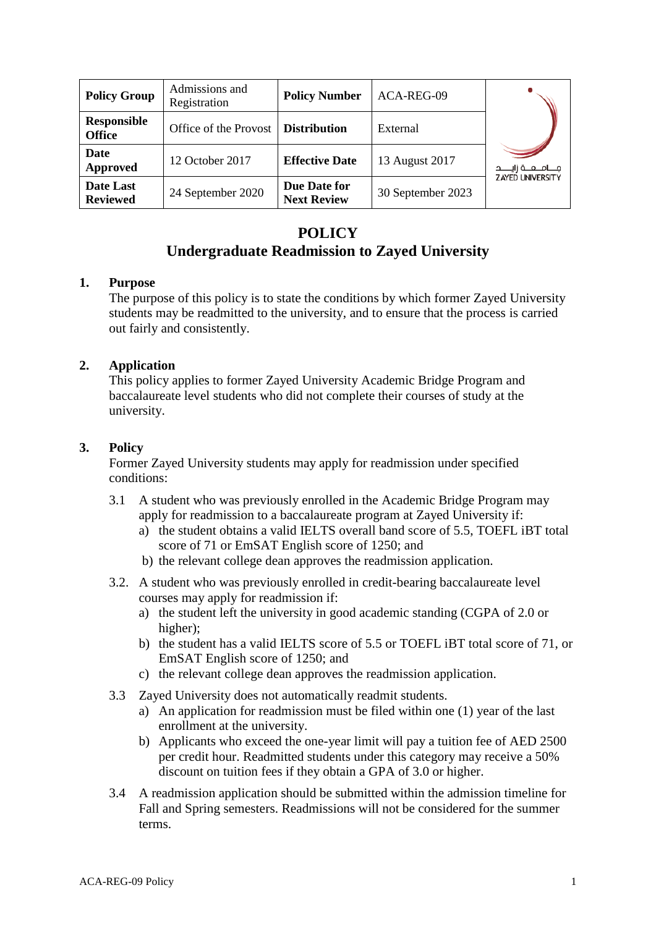| <b>Policy Group</b>                 | Admissions and<br>Registration | <b>Policy Number</b>               | ACA-REG-09        |                           |
|-------------------------------------|--------------------------------|------------------------------------|-------------------|---------------------------|
| <b>Responsible</b><br><b>Office</b> | Office of the Provost          | <b>Distribution</b>                | External          |                           |
| Date<br>Approved                    | 12 October 2017                | <b>Effective Date</b>              | 13 August 2017    | مــــامـــعـــة زايـــــد |
| Date Last<br><b>Reviewed</b>        | 24 September 2020              | Due Date for<br><b>Next Review</b> | 30 September 2023 | <b>ZAYED UNIVERSITY</b>   |

# **POLICY**

# **Undergraduate Readmission to Zayed University**

#### **1. Purpose**

The purpose of this policy is to state the conditions by which former Zayed University students may be readmitted to the university, and to ensure that the process is carried out fairly and consistently.

#### **2. Application**

This policy applies to former Zayed University Academic Bridge Program and baccalaureate level students who did not complete their courses of study at the university.

#### **3. Policy**

Former Zayed University students may apply for readmission under specified conditions:

- 3.1 A student who was previously enrolled in the Academic Bridge Program may apply for readmission to a baccalaureate program at Zayed University if:
	- a) the student obtains a valid IELTS overall band score of 5.5, TOEFL iBT total score of 71 or EmSAT English score of 1250; and
	- b) the relevant college dean approves the readmission application.
- 3.2. A student who was previously enrolled in credit-bearing baccalaureate level courses may apply for readmission if:
	- a) the student left the university in good academic standing (CGPA of 2.0 or higher);
	- b) the student has a valid IELTS score of 5.5 or TOEFL iBT total score of 71, or EmSAT English score of 1250; and
	- c) the relevant college dean approves the readmission application.
- 3.3 Zayed University does not automatically readmit students.
	- a) An application for readmission must be filed within one (1) year of the last enrollment at the university.
	- b) Applicants who exceed the one-year limit will pay a tuition fee of AED 2500 per credit hour. Readmitted students under this category may receive a 50% discount on tuition fees if they obtain a GPA of 3.0 or higher.
- 3.4 A readmission application should be submitted within the admission timeline for Fall and Spring semesters. Readmissions will not be considered for the summer terms.